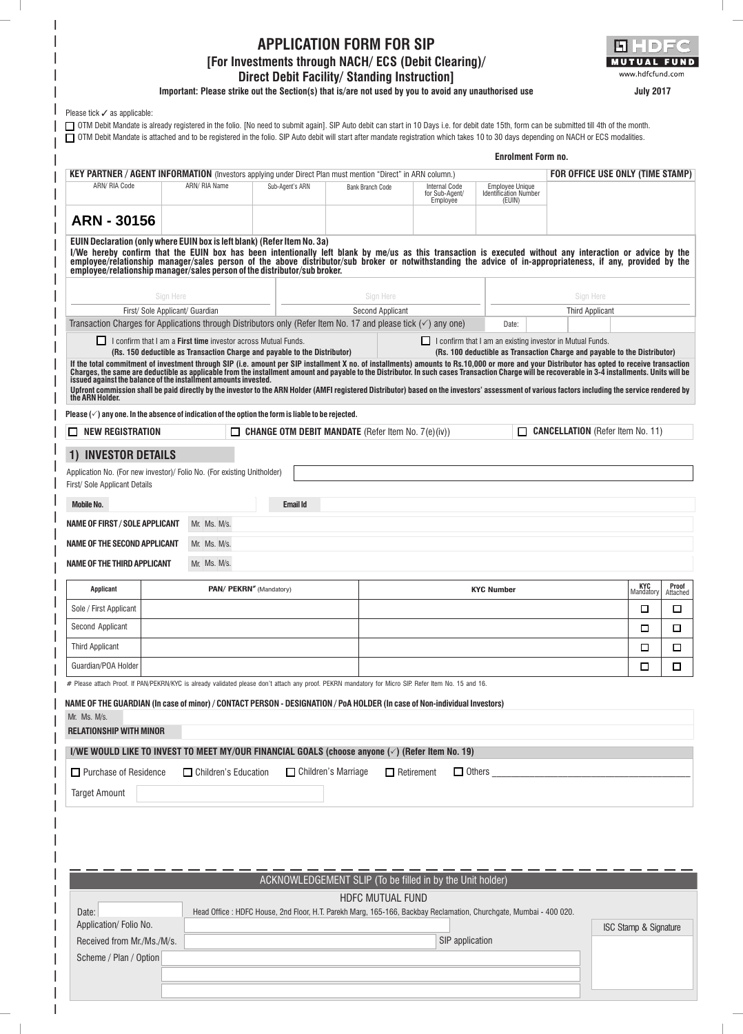# **APPLICATION FORM FOR SIP**

#### **[For Investments through NACH/ ECS (Debit Clearing)/ Direct Debit Facility/ Standing Instruction]**

**Important: Please strike out the Section(s) that is/are not used by you to avoid any unauthorised use**



**July 2017**

| Please tick $\checkmark$ as applicable: |  |
|-----------------------------------------|--|

|                                                                                                                    |               |                 |                  |                                                    | <b>Enrolment Form no.</b>                                        | □ OTM Debit Mandate is attached and to be registered in the folio. SIP Auto debit will start after mandate registration which takes 10 to 30 days depending on NACH or ECS modalities. |
|--------------------------------------------------------------------------------------------------------------------|---------------|-----------------|------------------|----------------------------------------------------|------------------------------------------------------------------|----------------------------------------------------------------------------------------------------------------------------------------------------------------------------------------|
| <b>KEY PARTNER / AGENT INFORMATION</b> (Investors applying under Direct Plan must mention "Direct" in ARN column.) |               |                 |                  |                                                    |                                                                  | FOR OFFICE USE ONLY (TIME STAMP)                                                                                                                                                       |
| ARN/ RIA Code                                                                                                      | ARN/ RIA Name | Sub-Agent's ARN | Bank Branch Code | <b>Internal Code</b><br>for Sub-Agent/<br>Employee | <b>Employee Unique</b><br><b>Identification Number</b><br>(EUIN) |                                                                                                                                                                                        |
| ARN - 30156                                                                                                        |               |                 |                  |                                                    |                                                                  |                                                                                                                                                                                        |

OTM Debit Mandate is already registered in the folio. [No need to submit again]. SIP Auto debit can start in 10 Days i.e. for debit date 15th, form can be submitted till 4th of the month.

**EUIN Declaration (only where EUIN box is left blank) (Refer Item No. 3a)**

| employee/relationship manager/sales person of the distributor/sub broker. | I/We hereby confirm that the EUIN box has been intentionally left blank by me/us as this transaction is executed without any interaction or advice by the<br>employee/relationship manager/sales person of the above distributor/sub broker or notwithstanding the advice of in-appropriateness, if any, provided by the |           |
|---------------------------------------------------------------------------|--------------------------------------------------------------------------------------------------------------------------------------------------------------------------------------------------------------------------------------------------------------------------------------------------------------------------|-----------|
| Sian Here                                                                 | Sian Here                                                                                                                                                                                                                                                                                                                | Sian Here |

| First/ Sole Applicant/ Guardian                                                                                           |                                                                           |                 | Second Applicant                                             |       | <b>Third Applicant</b>                                                                                                                                                                                                           |
|---------------------------------------------------------------------------------------------------------------------------|---------------------------------------------------------------------------|-----------------|--------------------------------------------------------------|-------|----------------------------------------------------------------------------------------------------------------------------------------------------------------------------------------------------------------------------------|
| Transaction Charges for Applications through Distributors only (Refer Item No. 17 and please tick $(\checkmark)$ any one) |                                                                           |                 |                                                              | Date: |                                                                                                                                                                                                                                  |
| I confirm that I am a <b>First time</b> investor across Mutual Funds.                                                     |                                                                           |                 |                                                              |       | I confirm that I am an existing investor in Mutual Funds.                                                                                                                                                                        |
|                                                                                                                           | (Rs. 150 deductible as Transaction Charge and payable to the Distributor) |                 |                                                              |       | (Rs. 100 deductible as Transaction Charge and payable to the Distributor)                                                                                                                                                        |
| issued against the balance of the installment amounts invested.                                                           |                                                                           |                 |                                                              |       | If the total commitment of investment through SIP (i.e. amount per SIP installment X no. of installments) amounts to Rs.10,000 or more and your Distributor has opted to receive transaction<br>Charges, the same are deductible |
| the ARN Holder.                                                                                                           |                                                                           |                 |                                                              |       | Upfront commission shall be paid directly by the investor to the ARN Holder (AMFI registered Distributor) based on the investors' assessment of various factors including the service rendered by                                |
| Please $(\check{v})$ any one. In the absence of indication of the option the form is liable to be rejected.               |                                                                           |                 |                                                              |       |                                                                                                                                                                                                                                  |
| <b>NEW REGISTRATION</b><br>$\mathbf{L}$                                                                                   | П                                                                         |                 | <b>CHANGE OTM DEBIT MANDATE</b> (Refer Item No. $7(e)(iv)$ ) | П     | <b>CANCELLATION</b> (Refer Item No. 11)                                                                                                                                                                                          |
| 1) INVESTOR DETAILS                                                                                                       |                                                                           |                 |                                                              |       |                                                                                                                                                                                                                                  |
| Application No. (For new investor)/ Folio No. (For existing Unitholder)                                                   |                                                                           |                 |                                                              |       |                                                                                                                                                                                                                                  |
| First/ Sole Applicant Details                                                                                             |                                                                           |                 |                                                              |       |                                                                                                                                                                                                                                  |
| <b>Mobile No.</b>                                                                                                         |                                                                           | <b>Email Id</b> |                                                              |       |                                                                                                                                                                                                                                  |
| NAME OF FIRST / SOLE APPLICANT                                                                                            | Mr. Ms. M/s.                                                              |                 |                                                              |       |                                                                                                                                                                                                                                  |
| NAME OF THE SECOND APPLICANT                                                                                              | Mr. Ms. M/s.                                                              |                 |                                                              |       |                                                                                                                                                                                                                                  |

**NAME OF THE THIRD APPLICANT Mr. Ms. M/s.** 

| Applicant              | PAN/ PEKRN <sup>*</sup> (Mandatory) | <b>KYC Number</b> | <b>KYC</b><br>Mandatory | <b>Proof</b><br>Attached |
|------------------------|-------------------------------------|-------------------|-------------------------|--------------------------|
| Sole / First Applicant |                                     |                   |                         |                          |
| Second Applicant       |                                     |                   |                         |                          |
| Third Applicant        |                                     |                   |                         |                          |
| Guardian/POA Holder    |                                     |                   |                         |                          |

# Please attach Proof. If PAN/PEKRN/KYC is already validated please don't attach any proof. PEKRN mandatory for Micro SIP. Refer Item No. 15 and 16.

#### **NAME OF THE GUARDIAN (In case of minor) / CONTACT PERSON - DESIGNATION / PoA HOLDER (In case of Non-individual Investors)**

| $Mr.$ Ms. $M/s.$ |  |  |
|------------------|--|--|
|------------------|--|--|

**RELATIONSHIP WITH MINOR**

| I/WE WOULD LIKE TO INVEST TO MEET MY/OUR FINANCIAL GOALS (choose anyone $(\check{\phantom{e}})$ (Refer Item No. 19) |                        |                                    |               |
|---------------------------------------------------------------------------------------------------------------------|------------------------|------------------------------------|---------------|
| $\Box$ Purchase of Residence                                                                                        | □ Children's Education | □ Children's Marriage □ Retirement | $\Box$ Others |
| <b>Target Amount</b>                                                                                                |                        |                                    |               |

|                            | ACKNOWLEDGEMENT SLIP (To be filled in by the Unit holder)                                                          |                                  |
|----------------------------|--------------------------------------------------------------------------------------------------------------------|----------------------------------|
|                            | HDFC MUTUAL FUND                                                                                                   |                                  |
| Date:                      | Head Office : HDFC House, 2nd Floor, H.T. Parekh Marg, 165-166, Backbay Reclamation, Churchgate, Mumbai - 400 020. |                                  |
| Application/Folio No.      |                                                                                                                    | <b>ISC Stamp &amp; Signature</b> |
| Received from Mr./Ms./M/s. | SIP application                                                                                                    |                                  |
| Scheme / Plan / Option     |                                                                                                                    |                                  |
|                            |                                                                                                                    |                                  |
|                            |                                                                                                                    |                                  |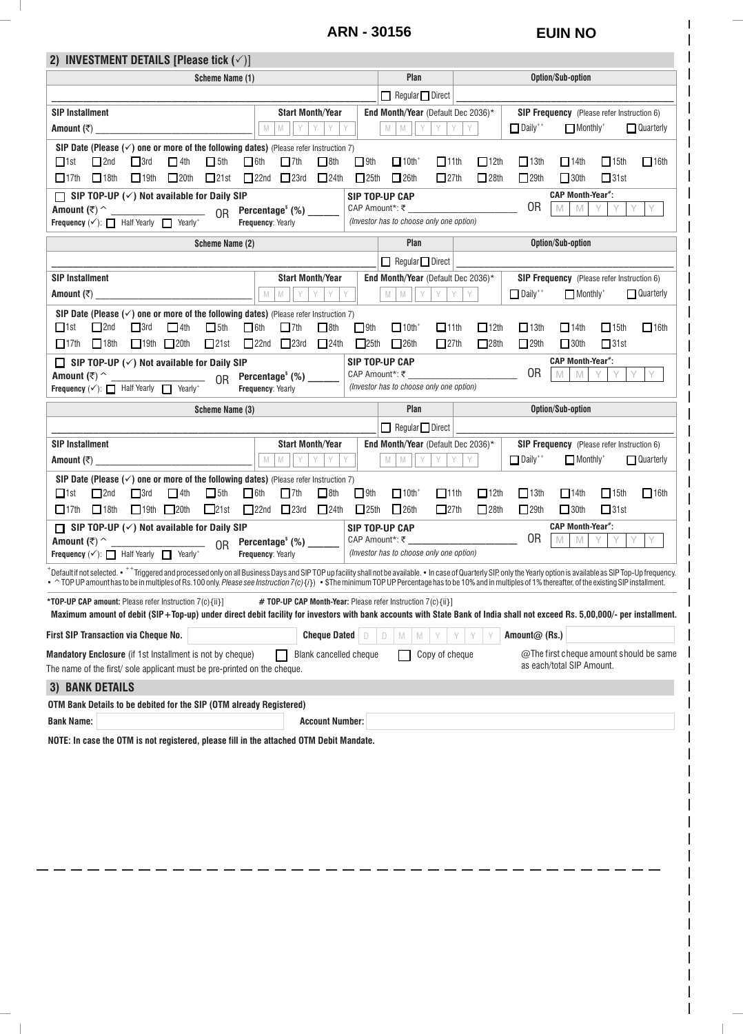## **ARN - 30156 EUIN NO**

 $\mathbb{R}$ 

 $\sim$  1

I

| 2) INVESTMENT DETAILS [Please tick $(\checkmark)$ ]                                                                                                                                                                                                                                                                                                                                                                                               |                                                                       |             |                                                                       |                            |                            |                                                                      |                            |                  |
|---------------------------------------------------------------------------------------------------------------------------------------------------------------------------------------------------------------------------------------------------------------------------------------------------------------------------------------------------------------------------------------------------------------------------------------------------|-----------------------------------------------------------------------|-------------|-----------------------------------------------------------------------|----------------------------|----------------------------|----------------------------------------------------------------------|----------------------------|------------------|
| Scheme Name (1)                                                                                                                                                                                                                                                                                                                                                                                                                                   |                                                                       |             | Plan                                                                  |                            |                            | Option/Sub-option                                                    |                            |                  |
|                                                                                                                                                                                                                                                                                                                                                                                                                                                   |                                                                       |             | $\Box$ Regular $\Box$ Direct                                          |                            |                            |                                                                      |                            |                  |
| <b>SIP Installment</b>                                                                                                                                                                                                                                                                                                                                                                                                                            | <b>Start Month/Year</b>                                               |             | <b>End Month/Year</b> (Default Dec 2036)*                             |                            |                            | <b>SIP Frequency</b> (Please refer Instruction 6)                    |                            |                  |
| Amount $(\bar{x})$                                                                                                                                                                                                                                                                                                                                                                                                                                | ${\mathbb M}$<br>Y<br>Y<br>Y<br>${\mathbb M}$<br>Y                    |             | M M Y<br>Y                                                            | Y<br>Y                     | $\Box$ Daily <sup>++</sup> | $\Box$ Monthly <sup>+</sup>                                          |                            | $\Box$ Quarterly |
| SIP Date (Please $(\checkmark)$ one or more of the following dates) (Please refer Instruction 7)                                                                                                                                                                                                                                                                                                                                                  |                                                                       |             |                                                                       |                            |                            |                                                                      |                            |                  |
| $-4th$<br>$\Box$ 5th<br>$\Box$ 6th<br>$\Box$ 2nd<br>$\Box$ 3rd<br>$\Box$ 1st<br>$\Box$ 17th $\Box$ 18th $\Box$ 19th $\Box$ 20th $\Box$ 21st                                                                                                                                                                                                                                                                                                       | $\Box$ 8th<br>$\Box$ 7th<br>$22nd$ $23rd$ $24th$                      | $\Box$ 9th  | $\Box$ 10th <sup>+</sup><br>$\Box$ 11th<br>$25th$ 26th<br>$\Box$ 27th | $\Box$ 12th<br>$\Box$ 28th | $\Box$ 13th<br>$\Box$ 29th | $\Box$ 14th<br>$\Box$ 30th                                           | $\Box$ 15th<br>$\Box$ 31st | $\Box$ 16th      |
| $\Box$ SIP TOP-UP ( $\checkmark$ ) Not available for Daily SIP                                                                                                                                                                                                                                                                                                                                                                                    |                                                                       |             | SIP TOP-UP CAP                                                        |                            |                            | <b>CAP Month-Year*:</b>                                              |                            |                  |
|                                                                                                                                                                                                                                                                                                                                                                                                                                                   | Percentage <sup>\$</sup> (%) ______                                   |             |                                                                       |                            | 0R                         | M<br>M                                                               | Y<br>Y<br>Y                |                  |
| <b>Frequency</b> $(\checkmark)$ : $\Box$ Half Yearly $\Box$ Yearly*                                                                                                                                                                                                                                                                                                                                                                               | Frequency: Yearly                                                     |             | (Investor has to choose only one option)                              |                            |                            |                                                                      |                            |                  |
| Scheme Name (2)                                                                                                                                                                                                                                                                                                                                                                                                                                   |                                                                       |             | Plan                                                                  |                            |                            | Option/Sub-option                                                    |                            |                  |
|                                                                                                                                                                                                                                                                                                                                                                                                                                                   |                                                                       |             | $\Box$ Regular $\Box$ Direct                                          |                            |                            |                                                                      |                            |                  |
| <b>SIP Installment</b>                                                                                                                                                                                                                                                                                                                                                                                                                            | <b>Start Month/Year</b>                                               |             | End Month/Year (Default Dec 2036)*                                    |                            |                            | <b>SIP Frequency</b> (Please refer Instruction 6)                    |                            |                  |
|                                                                                                                                                                                                                                                                                                                                                                                                                                                   | $M$ $M$<br>YY<br>Y                                                    | Y           | M M Y<br>Y                                                            | Y.<br>Y                    | $\Box$ Daily <sup>++</sup> | $\Box$ Monthly <sup>+</sup>                                          |                            | $\Box$ Quarterly |
| SIP Date (Please $(\checkmark)$ one or more of the following dates) (Please refer Instruction 7)                                                                                                                                                                                                                                                                                                                                                  |                                                                       |             |                                                                       |                            |                            |                                                                      |                            |                  |
| $\Box$ 1st<br>$\Box$ 2nd<br>$\Box$ 3rd<br>$-4th$<br>$\Box$ 5th<br>$\Box$ 6th                                                                                                                                                                                                                                                                                                                                                                      | $\Box$ 7th<br>$\Box$ 8th                                              | $\Box$ 9th  | $\Box$ 10th <sup>+</sup><br>$\Box$ 11th                               | $\Box$ 12th                | $\Box$ 13th                | $\Box$ 14th                                                          | $\Box$ 15th                | $\Box$ 16th      |
| $17th$ $18th$ $19th$ $20th$                                                                                                                                                                                                                                                                                                                                                                                                                       | $\Box$ 21st $\Box$ 22nd $\Box$ 23rd $\Box$ 24th                       | $\Box$ 25th | $\Box$ 26th<br>27th                                                   | 28th                       | $\Box$ 29th                | $\Box$ 30th<br><b>CAP Month-Year*:</b>                               | $\Box$ 31st                |                  |
| $\Box$ SIP TOP-UP ( $\checkmark$ ) Not available for Daily SIP<br>Amount $(\overline{\tau})$ ^<br>OR                                                                                                                                                                                                                                                                                                                                              | Percentage <sup>\$</sup> (%) ______                                   |             | SIP TOP-UP CAP                                                        |                            | 0R                         | M<br>M                                                               | YY<br>Y                    | Y.               |
| <b>Frequency</b> $(\checkmark)$ : $\Box$ Half Yearly $\Box$ Yearly <sup>+</sup>                                                                                                                                                                                                                                                                                                                                                                   | Frequency: Yearly                                                     |             | (Investor has to choose only one option)                              |                            |                            |                                                                      |                            |                  |
| Scheme Name (3)                                                                                                                                                                                                                                                                                                                                                                                                                                   |                                                                       |             | Plan                                                                  |                            |                            | Option/Sub-option                                                    |                            |                  |
|                                                                                                                                                                                                                                                                                                                                                                                                                                                   |                                                                       |             | $\Box$ Regular $\Box$ Direct                                          |                            |                            |                                                                      |                            |                  |
| <b>SIP Installment</b>                                                                                                                                                                                                                                                                                                                                                                                                                            | <b>Start Month/Year</b>                                               |             | End Month/Year (Default Dec 2036)*                                    |                            |                            | SIP Frequency (Please refer Instruction 6)                           |                            |                  |
|                                                                                                                                                                                                                                                                                                                                                                                                                                                   | YY<br>$M$ $M$<br>$Y$ Y                                                |             | M M Y<br>Y<br>Y                                                       | Y                          | $\Box$ Daily <sup>++</sup> | $\Box$ Monthly <sup>+</sup>                                          |                            | $\Box$ Quarterly |
| SIP Date (Please $(\checkmark)$ one or more of the following dates) (Please refer Instruction 7)                                                                                                                                                                                                                                                                                                                                                  |                                                                       |             |                                                                       |                            |                            |                                                                      |                            |                  |
| $\Box$ 1st<br>$\Box$ 3rd<br>$\Box$ 4th<br>$\Box$ 5th<br>$\Box$ 6th<br>2nd<br>$\Box$ 17th $\Box$ 18th $\Box$ 19th $\Box$ 20th<br>21st                                                                                                                                                                                                                                                                                                              | $\Box$ 7th<br>$\Box$ 8th<br>$22nd$ $23rd$ $24th$                      | $\Box$ 9th  | $\Box$ 10th <sup>+</sup><br>$\Box$ 11th<br>$25th$ 26th<br>27th        | $\Box$ 12th<br>$\Box$ 28th | $\Box$ 13th<br>29th        | $\Box$ 14th<br>$\Box$ 30th                                           | $\Box$ 15th<br>$\Box$ 31st | $\Box$ 16th      |
| $\Box$ SIP TOP-UP ( $\checkmark$ ) Not available for Daily SIP                                                                                                                                                                                                                                                                                                                                                                                    |                                                                       |             | SIP TOP-UP CAP                                                        |                            |                            | <b>CAP Month-Year*:</b>                                              |                            |                  |
| Amount $(\overline{\tau})$ ^<br>0 <sub>R</sub>                                                                                                                                                                                                                                                                                                                                                                                                    | Percentage $^{\circ}$ (%) _______                                     |             | CAP Amount*: ₹                                                        |                            | 0R                         | M<br>M                                                               | Y<br>Y.<br>Y               |                  |
| <b>Frequency</b> $(\checkmark)$ : $\Box$ Half Yearly $\Box$ Yearly*                                                                                                                                                                                                                                                                                                                                                                               | Frequency: Yearly                                                     |             | (Investor has to choose only one option)                              |                            |                            |                                                                      |                            |                  |
| Default if not selected. • <sup>+ +</sup> Triggered and processed only on all Business Days and SIP TOP up facility shall not be available. • In case of Quarterly SIP, only the Yearly option is available as SIP Top-Up frequency.<br>TOP UP amount has to be in multiples of Rs.100 only. Please see Instruction 7(c) {i}) . \$The minimum TOP UP Percentage has to be 10% and in multiples of 1% thereafter, of the existing SIP installment. |                                                                       |             |                                                                       |                            |                            |                                                                      |                            |                  |
| *TOP-UP CAP amount: Please refer Instruction 7(c){ii}]                                                                                                                                                                                                                                                                                                                                                                                            | <b># TOP-UP CAP Month-Year:</b> Please refer Instruction $7(c)$ {ii}] |             |                                                                       |                            |                            |                                                                      |                            |                  |
| Maximum amount of debit (SIP+Top-up) under direct debit facility for investors with bank accounts with State Bank of India shall not exceed Rs. 5,00,000/- per installment.                                                                                                                                                                                                                                                                       |                                                                       |             |                                                                       |                            |                            |                                                                      |                            |                  |
| First SIP Transaction via Cheque No.                                                                                                                                                                                                                                                                                                                                                                                                              | Cheque Dated $\Box$                                                   |             | M                                                                     |                            | Amount@ (Rs.)              |                                                                      |                            |                  |
| Mandatory Enclosure (if 1st Installment is not by cheque)                                                                                                                                                                                                                                                                                                                                                                                         | <b>Blank cancelled cheque</b>                                         |             | Copy of cheque                                                        |                            |                            | @The first cheque amount should be same<br>as each/total SIP Amount. |                            |                  |
| The name of the first/sole applicant must be pre-printed on the cheque.                                                                                                                                                                                                                                                                                                                                                                           |                                                                       |             |                                                                       |                            |                            |                                                                      |                            |                  |
| <b>3) BANK DETAILS</b>                                                                                                                                                                                                                                                                                                                                                                                                                            |                                                                       |             |                                                                       |                            |                            |                                                                      |                            |                  |
| OTM Bank Details to be debited for the SIP (OTM already Registered)<br><b>Bank Name:</b>                                                                                                                                                                                                                                                                                                                                                          | <b>Account Number:</b>                                                |             |                                                                       |                            |                            |                                                                      |                            |                  |
|                                                                                                                                                                                                                                                                                                                                                                                                                                                   |                                                                       |             |                                                                       |                            |                            |                                                                      |                            |                  |
| NOTE: In case the OTM is not registered, please fill in the attached OTM Debit Mandate.                                                                                                                                                                                                                                                                                                                                                           |                                                                       |             |                                                                       |                            |                            |                                                                      |                            |                  |
|                                                                                                                                                                                                                                                                                                                                                                                                                                                   |                                                                       |             |                                                                       |                            |                            |                                                                      |                            |                  |
|                                                                                                                                                                                                                                                                                                                                                                                                                                                   |                                                                       |             |                                                                       |                            |                            |                                                                      |                            |                  |
|                                                                                                                                                                                                                                                                                                                                                                                                                                                   |                                                                       |             |                                                                       |                            |                            |                                                                      |                            |                  |
|                                                                                                                                                                                                                                                                                                                                                                                                                                                   |                                                                       |             |                                                                       |                            |                            |                                                                      |                            |                  |
|                                                                                                                                                                                                                                                                                                                                                                                                                                                   |                                                                       |             |                                                                       |                            |                            |                                                                      |                            |                  |
|                                                                                                                                                                                                                                                                                                                                                                                                                                                   |                                                                       |             |                                                                       |                            |                            |                                                                      |                            |                  |
|                                                                                                                                                                                                                                                                                                                                                                                                                                                   |                                                                       |             |                                                                       |                            |                            |                                                                      |                            |                  |
|                                                                                                                                                                                                                                                                                                                                                                                                                                                   |                                                                       |             |                                                                       |                            |                            |                                                                      |                            |                  |
|                                                                                                                                                                                                                                                                                                                                                                                                                                                   |                                                                       |             |                                                                       |                            |                            |                                                                      |                            |                  |
|                                                                                                                                                                                                                                                                                                                                                                                                                                                   |                                                                       |             |                                                                       |                            |                            |                                                                      |                            |                  |